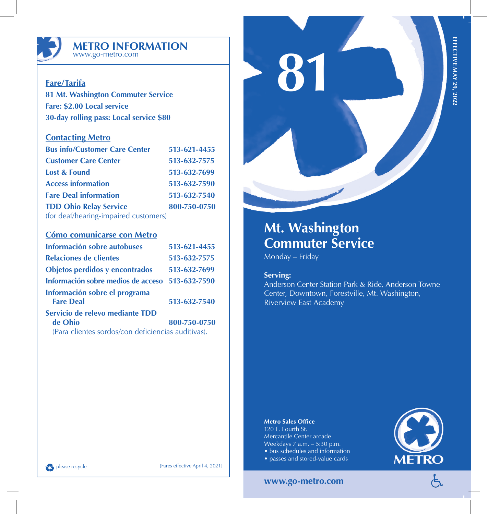

## **METRO INFORMATION** www.go-metro.com

# **Fare/Tarifa**

**81 Mt. Washington Commuter Service Fare: \$2.00 Local service 30-day rolling pass: Local service \$80**

## **Contacting Metro**

| <b>Bus info/Customer Care Center</b>  | 513-621-4455 |
|---------------------------------------|--------------|
| <b>Customer Care Center</b>           | 513-632-7575 |
| <b>Lost &amp; Found</b>               | 513-632-7699 |
| <b>Access information</b>             | 513-632-7590 |
| <b>Fare Deal information</b>          | 513-632-7540 |
| <b>TDD Ohio Relay Service</b>         | 800-750-0750 |
| (for deaf/hearing-impaired customers) |              |

## **Cómo comunicarse con Metro**

| Información sobre autobuses                       | 513-621-4455 |
|---------------------------------------------------|--------------|
| <b>Relaciones de clientes</b>                     | 513-632-7575 |
| Objetos perdidos y encontrados                    | 513-632-7699 |
| Información sobre medios de acceso                | 513-632-7590 |
| Información sobre el programa<br><b>Fare Deal</b> | 513-632-7540 |
| Servicio de relevo mediante TDD<br>de Ohio        | 800-750-0750 |

(Para clientes sordos/con deficiencias auditivas).

# **81**

# **Mt. Washington Commuter Service**

Monday – Friday

## **Serving:**

Anderson Center Station Park & Ride, Anderson Towne Center, Downtown, Forestville, Mt. Washington, Riverview East Academy

### **Metro Sales Office**

120 E. Fourth St. Mercantile Center arcade Weekdays 7 a.m. – 5:30 p.m. • bus schedules and information • passes and stored-value cards



## **www.go-metro.com**